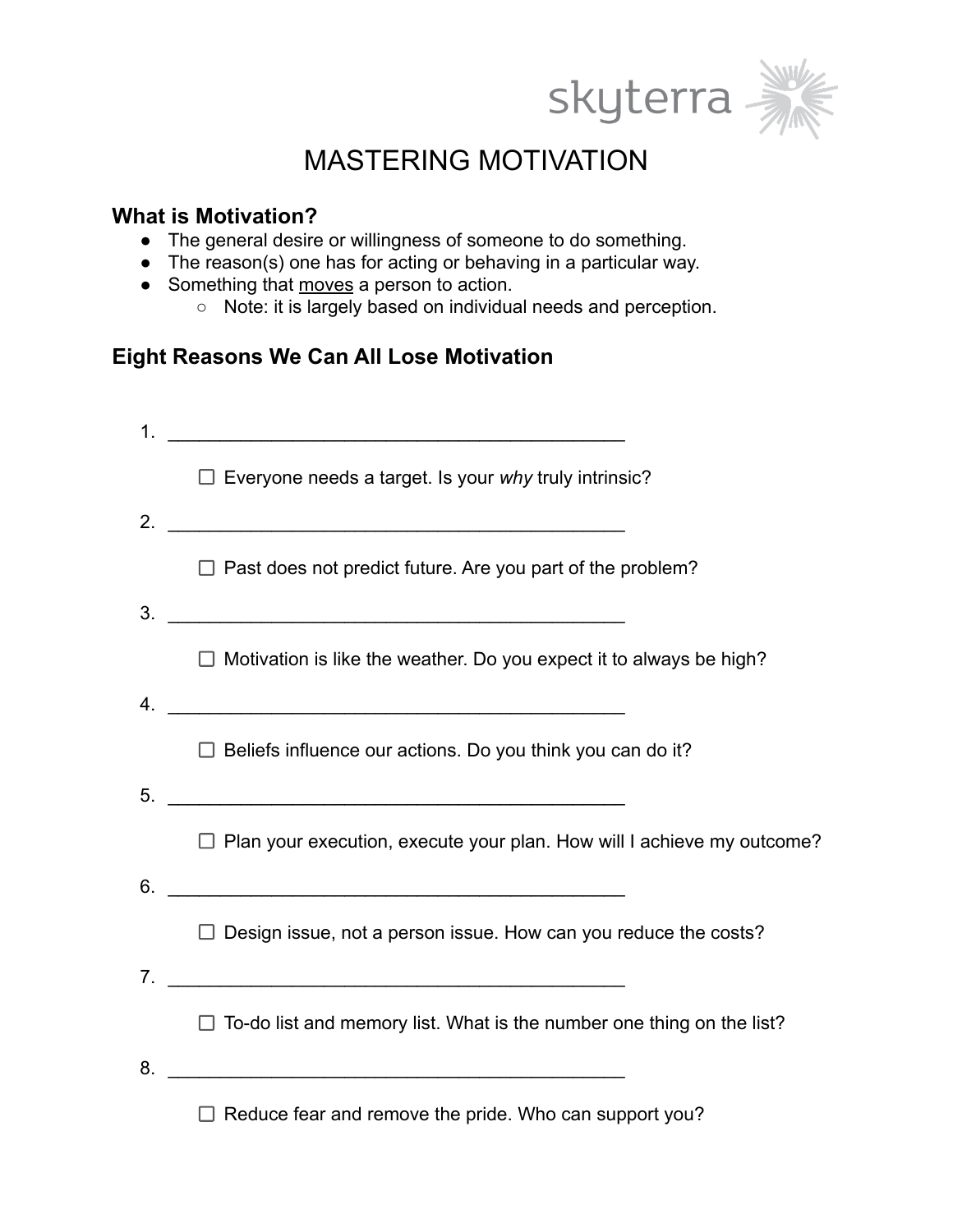



# MASTERING MOTIVATION

## **What is Motivation?**

- The general desire or willingness of someone to do something.
- The reason(s) one has for acting or behaving in a particular way.
- Something that moves a person to action.
	- Note: it is largely based on individual needs and perception.

## **Eight Reasons We Can All Lose Motivation**

| $\mathbf 1$ . |                                                                                                                      |
|---------------|----------------------------------------------------------------------------------------------------------------------|
|               | $\Box$ Everyone needs a target. Is your why truly intrinsic?                                                         |
| 2.            | <u> 1980 - Jan James James Barnett, fransk politik (d. 1980)</u>                                                     |
|               | $\Box$ Past does not predict future. Are you part of the problem?                                                    |
| 3.            |                                                                                                                      |
|               | $\Box$ Motivation is like the weather. Do you expect it to always be high?                                           |
| 4.            | <u> 1980 - Jan Alexandri, politik eta politik eta politik eta politik eta politik eta politik eta politik eta po</u> |
|               | $\Box$ Beliefs influence our actions. Do you think you can do it?                                                    |
| 5.            | <u> 1980 - Jan Barbara Barat, margaret eta biztanleria (h. 1980).</u>                                                |
|               | $\Box$ Plan your execution, execute your plan. How will I achieve my outcome?                                        |
| 6.            | <u> 1989 - Johann John Stone, mars eta biztanleria (h. 1989).</u>                                                    |
|               | $\Box$ Design issue, not a person issue. How can you reduce the costs?                                               |
| 7.            | <u> 1989 - Johann Barn, mars et al. (b. 1989)</u>                                                                    |
|               | $\Box$ To-do list and memory list. What is the number one thing on the list?                                         |
| 8.            | <u> 1980 - Jan Barnett, fransk politik (d. 1980)</u>                                                                 |
|               | $\Box$ Reduce fear and remove the pride. Who can support you?                                                        |